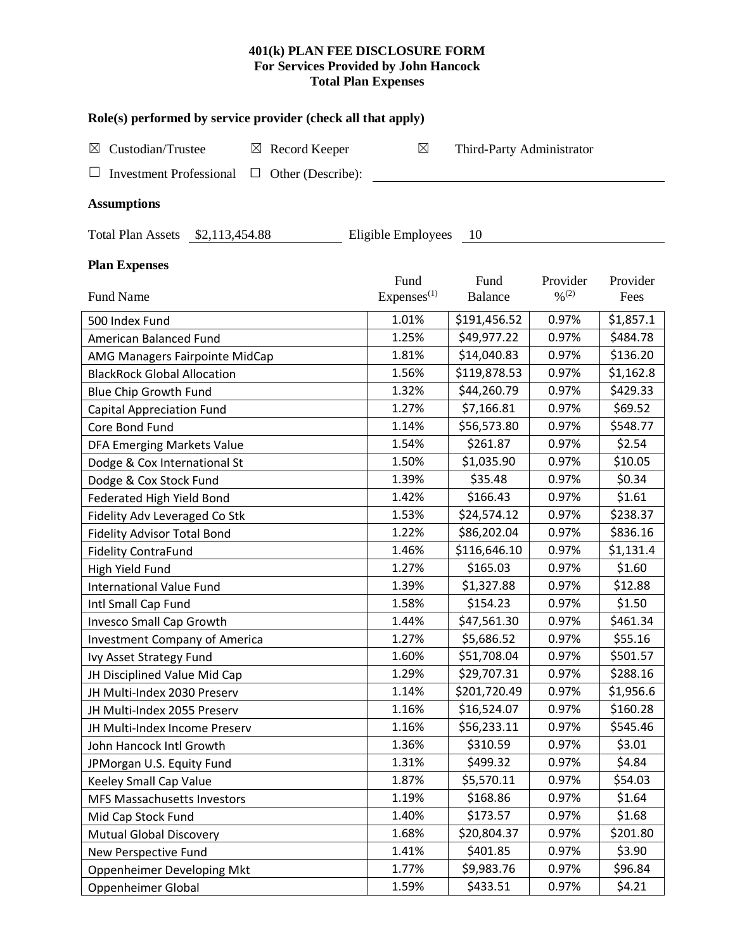## **401(k) PLAN FEE DISCLOSURE FORM For Services Provided by John Hancock Total Plan Expenses**

| Role(s) performed by service provider (check all that apply)  |                                |                           |                                          |                  |  |  |
|---------------------------------------------------------------|--------------------------------|---------------------------|------------------------------------------|------------------|--|--|
| Custodian/Trustee<br>$\boxtimes$ Record Keeper<br>⊠           | $\boxtimes$                    | Third-Party Administrator |                                          |                  |  |  |
| <b>Investment Professional</b><br>Other (Describe):<br>$\Box$ |                                |                           |                                          |                  |  |  |
| <b>Assumptions</b>                                            |                                |                           |                                          |                  |  |  |
| Total Plan Assets \$2,113,454.88                              | Eligible Employees             | 10                        |                                          |                  |  |  |
| <b>Plan Expenses</b>                                          |                                |                           |                                          |                  |  |  |
| <b>Fund Name</b>                                              | Fund<br>Express <sup>(1)</sup> | Fund<br><b>Balance</b>    | Provider<br>$\frac{0}{2}$ <sup>(2)</sup> | Provider<br>Fees |  |  |
| 500 Index Fund                                                | 1.01%                          | \$191,456.52              | 0.97%                                    | \$1,857.1        |  |  |
| American Balanced Fund                                        | 1.25%                          | \$49,977.22               | 0.97%                                    | \$484.78         |  |  |
| AMG Managers Fairpointe MidCap                                | 1.81%                          | \$14,040.83               | 0.97%                                    | \$136.20         |  |  |
| <b>BlackRock Global Allocation</b>                            | 1.56%                          | \$119,878.53              | 0.97%                                    | \$1,162.8        |  |  |
| <b>Blue Chip Growth Fund</b>                                  | 1.32%                          | \$44,260.79               | 0.97%                                    | \$429.33         |  |  |
| <b>Capital Appreciation Fund</b>                              | 1.27%                          | \$7,166.81                | 0.97%                                    | \$69.52          |  |  |
| Core Bond Fund                                                | 1.14%                          | \$56,573.80               | 0.97%                                    | \$548.77         |  |  |
| DFA Emerging Markets Value                                    | 1.54%                          | \$261.87                  | 0.97%                                    | \$2.54           |  |  |
| Dodge & Cox International St                                  | 1.50%                          | \$1,035.90                | 0.97%                                    | \$10.05          |  |  |
| Dodge & Cox Stock Fund                                        | 1.39%                          | \$35.48                   | 0.97%                                    | \$0.34           |  |  |
| Federated High Yield Bond                                     | 1.42%                          | \$166.43                  | 0.97%                                    | \$1.61           |  |  |
| Fidelity Adv Leveraged Co Stk                                 | 1.53%                          | \$24,574.12               | 0.97%                                    | \$238.37         |  |  |
| <b>Fidelity Advisor Total Bond</b>                            | 1.22%                          | \$86,202.04               | 0.97%                                    | \$836.16         |  |  |
| <b>Fidelity ContraFund</b>                                    | 1.46%                          | \$116,646.10              | 0.97%                                    | \$1,131.4        |  |  |
| High Yield Fund                                               | 1.27%                          | \$165.03                  | 0.97%                                    | \$1.60           |  |  |
| <b>International Value Fund</b>                               | 1.39%                          | \$1,327.88                | 0.97%                                    | \$12.88          |  |  |
| Intl Small Cap Fund                                           | 1.58%                          | \$154.23                  | 0.97%                                    | \$1.50           |  |  |
| <b>Invesco Small Cap Growth</b>                               | 1.44%                          | \$47,561.30               | 0.97%                                    | \$461.34         |  |  |
| <b>Investment Company of America</b>                          | 1.27%                          | \$5,686.52                | 0.97%                                    | \$55.16          |  |  |
| Ivy Asset Strategy Fund                                       | 1.60%                          | \$51,708.04               | 0.97%                                    | \$501.57         |  |  |
| JH Disciplined Value Mid Cap                                  | 1.29%                          | \$29,707.31               | 0.97%                                    | \$288.16         |  |  |
| JH Multi-Index 2030 Preserv                                   | 1.14%                          | \$201,720.49              | 0.97%                                    | \$1,956.6        |  |  |
| JH Multi-Index 2055 Preserv                                   | 1.16%                          | \$16,524.07               | 0.97%                                    | \$160.28         |  |  |
| JH Multi-Index Income Preserv                                 | 1.16%                          | \$56,233.11               | 0.97%                                    | \$545.46         |  |  |
| John Hancock Intl Growth                                      | 1.36%                          | \$310.59                  | 0.97%                                    | \$3.01           |  |  |
| JPMorgan U.S. Equity Fund                                     | 1.31%                          | \$499.32                  | 0.97%                                    | \$4.84           |  |  |
| Keeley Small Cap Value                                        | 1.87%                          | \$5,570.11                | 0.97%                                    | \$54.03          |  |  |
| <b>MFS Massachusetts Investors</b>                            | 1.19%                          | \$168.86                  | 0.97%                                    | \$1.64           |  |  |
| Mid Cap Stock Fund                                            | 1.40%                          | \$173.57                  | 0.97%                                    | \$1.68           |  |  |
| Mutual Global Discovery                                       | 1.68%                          | \$20,804.37               | 0.97%                                    | \$201.80         |  |  |
| New Perspective Fund                                          | 1.41%                          | \$401.85                  | 0.97%                                    | \$3.90           |  |  |
| Oppenheimer Developing Mkt                                    | 1.77%                          | \$9,983.76                | 0.97%                                    | \$96.84          |  |  |
| Oppenheimer Global                                            | 1.59%                          | \$433.51                  | 0.97%                                    | \$4.21           |  |  |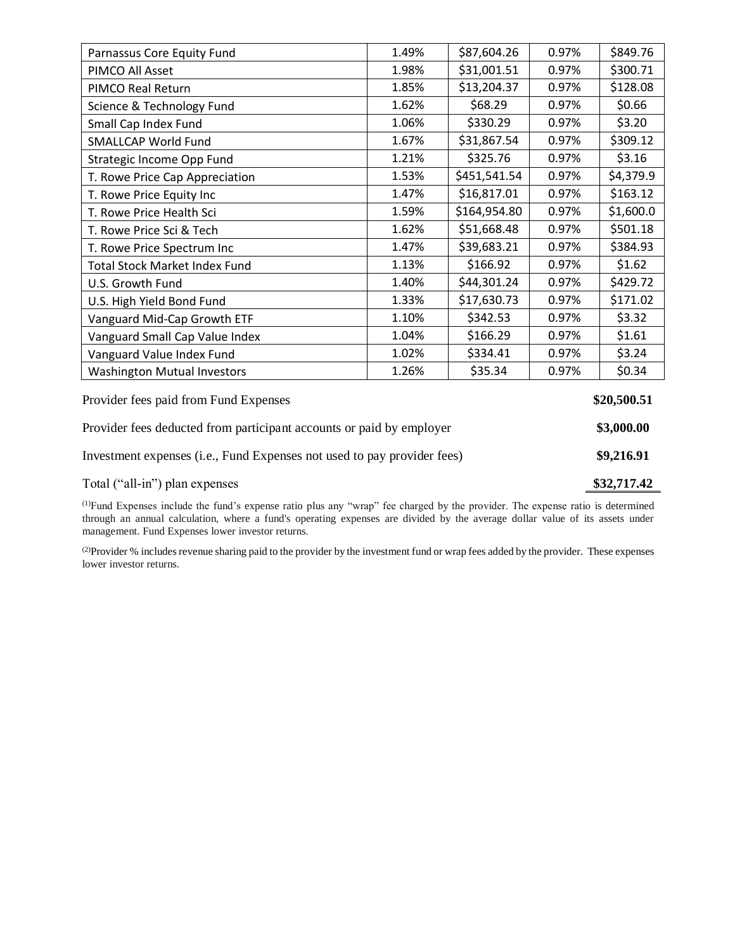| Parnassus Core Equity Fund                                           | 1.49% | \$87,604.26  | 0.97% | \$849.76   |
|----------------------------------------------------------------------|-------|--------------|-------|------------|
| PIMCO All Asset                                                      | 1.98% | \$31,001.51  | 0.97% | \$300.71   |
| PIMCO Real Return                                                    | 1.85% | \$13,204.37  | 0.97% | \$128.08   |
| Science & Technology Fund                                            | 1.62% | \$68.29      | 0.97% | \$0.66     |
| Small Cap Index Fund                                                 | 1.06% | \$330.29     | 0.97% | \$3.20     |
| <b>SMALLCAP World Fund</b>                                           | 1.67% | \$31,867.54  | 0.97% | \$309.12   |
| Strategic Income Opp Fund                                            | 1.21% | \$325.76     | 0.97% | \$3.16     |
| T. Rowe Price Cap Appreciation                                       | 1.53% | \$451,541.54 | 0.97% | \$4,379.9  |
| T. Rowe Price Equity Inc                                             | 1.47% | \$16,817.01  | 0.97% | \$163.12   |
| T. Rowe Price Health Sci                                             | 1.59% | \$164,954.80 | 0.97% | \$1,600.0  |
| T. Rowe Price Sci & Tech                                             | 1.62% | \$51,668.48  | 0.97% | \$501.18   |
| T. Rowe Price Spectrum Inc                                           | 1.47% | \$39,683.21  | 0.97% | \$384.93   |
| <b>Total Stock Market Index Fund</b>                                 | 1.13% | \$166.92     | 0.97% | \$1.62     |
| U.S. Growth Fund                                                     | 1.40% | \$44,301.24  | 0.97% | \$429.72   |
| U.S. High Yield Bond Fund                                            | 1.33% | \$17,630.73  | 0.97% | \$171.02   |
| Vanguard Mid-Cap Growth ETF                                          | 1.10% | \$342.53     | 0.97% | \$3.32     |
| Vanguard Small Cap Value Index                                       | 1.04% | \$166.29     | 0.97% | \$1.61     |
| Vanguard Value Index Fund                                            | 1.02% | \$334.41     | 0.97% | \$3.24     |
| <b>Washington Mutual Investors</b>                                   | 1.26% | \$35.34      | 0.97% | \$0.34     |
| Provider fees paid from Fund Expenses                                |       |              |       |            |
| Provider fees deducted from participant accounts or paid by employer |       |              |       | \$3,000.00 |

Investment expenses (i.e., Fund Expenses not used to pay provider fees) **\$9,216.91**

Total ("all-in") plan expenses **\$32,717.42** 

(1)Fund Expenses include the fund's expense ratio plus any "wrap" fee charged by the provider. The expense ratio is determined through an annual calculation, where a fund's operating expenses are divided by the average dollar value of its assets under management. Fund Expenses lower investor returns.

(2) Provider % includes revenue sharing paid to the provider by the investment fund or wrap fees added by the provider. These expenses lower investor returns.